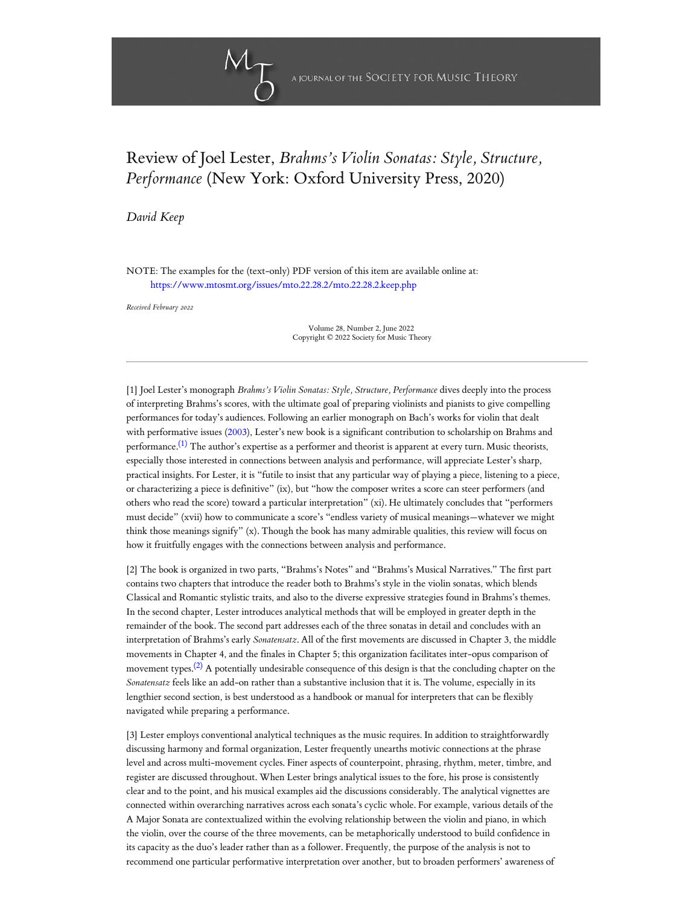

## Review of Joel Lester, *Brahms's Violin Sonatas: Style, Structure, Performance* (New York: Oxford University Press, 2020)

*[David Keep](#page-2-0)*

NOTE: The examples for the (text-only) PDF version of this item are available online at: <https://www.mtosmt.org/issues/mto.22.28.2/mto.22.28.2.keep.php>

*Received February 2022*

Volume 28, Number 2, June 2022 Copyright © 2022 Society for Music Theory

<span id="page-0-0"></span>[1] Joel Lester's monograph *Brahms's Violin Sonatas: Style, Structure, Performance* dives deeply into the process of interpreting Brahms's scores, with the ultimate goal of preparing violinists and pianists to give compelling performances for today's audiences. Following an earlier monograph on Bach's works for violin that dealt with performative issues [\(2003](#page-3-0)), Lester's new book is a significant contribution to scholarship on Brahms and performance.<sup>[\(1\)](#page-4-0)</sup> The author's expertise as a performer and theorist is apparent at every turn. Music theorists, especially those interested in connections between analysis and performance, will appreciate Lester's sharp, practical insights. For Lester, it is "futile to insist that any particular way of playing a piece, listening to a piece, or characterizing a piece is definitive" (ix), but "how the composer writes a score can steer performers (and others who read the score) toward a particular interpretation" (xi). He ultimately concludes that "performers must decide" (xvii) how to communicate a score's "endless variety of musical meanings—whatever we might think those meanings signify" (x). Though the book has many admirable qualities, this review will focus on how it fruitfully engages with the connections between analysis and performance.

[2] The book is organized in two parts, "Brahms's Notes" and "Brahms's Musical Narratives." The first part contains two chapters that introduce the reader both to Brahms's style in the violin sonatas, which blends Classical and Romantic stylistic traits, and also to the diverse expressive strategies found in Brahms's themes. In the second chapter, Lester introduces analytical methods that will be employed in greater depth in the remainder of the book. The second part addresses each of the three sonatas in detail and concludes with an interpretation of Brahms's early *Sonatensatz*. All of the first movements are discussed in Chapter 3, the middle movements in Chapter 4, and the finales in Chapter 5; this organization facilitates inter-opus comparison of movement types.<sup>[\(2\)](#page-4-1)</sup> A potentially undesirable consequence of this design is that the concluding chapter on the *Sonatensatz* feels like an add-on rather than a substantive inclusion that it is. The volume, especially in its lengthier second section, is best understood as a handbook or manual for interpreters that can be flexibly navigated while preparing a performance.

<span id="page-0-1"></span>[3] Lester employs conventional analytical techniques as the music requires. In addition to straightforwardly discussing harmony and formal organization, Lester frequently unearths motivic connections at the phrase level and across multi-movement cycles. Finer aspects of counterpoint, phrasing, rhythm, meter, timbre, and register are discussed throughout. When Lester brings analytical issues to the fore, his prose is consistently clear and to the point, and his musical examples aid the discussions considerably. The analytical vignettes are connected within overarching narratives across each sonata's cyclic whole. For example, various details of the A Major Sonata are contextualized within the evolving relationship between the violin and piano, in which the violin, over the course of the three movements, can be metaphorically understood to build confidence in its capacity as the duo's leader rather than as a follower. Frequently, the purpose of the analysis is not to recommend one particular performative interpretation over another, but to broaden performers' awareness of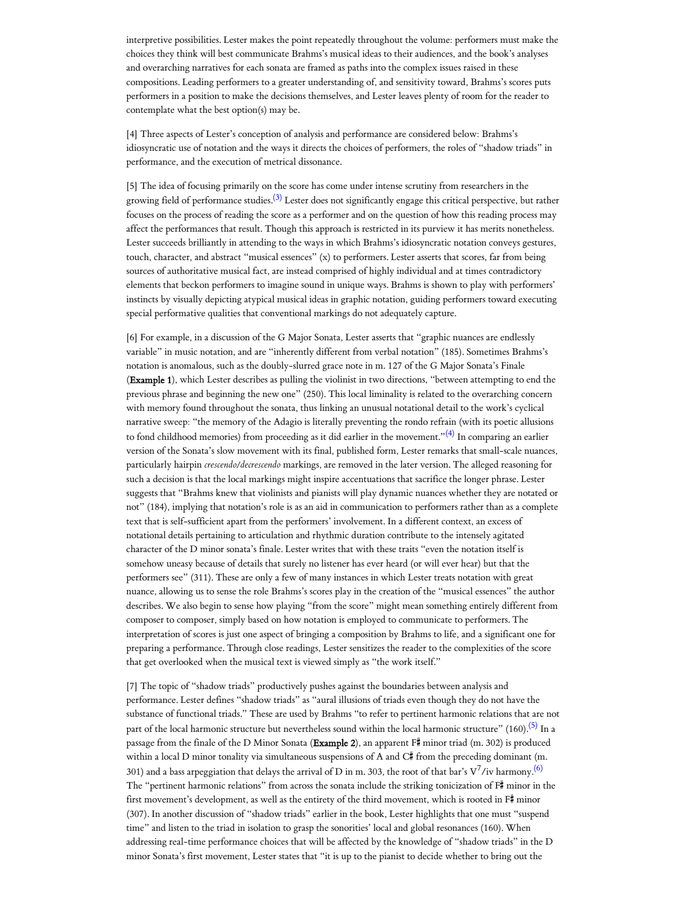interpretive possibilities. Lester makes the point repeatedly throughout the volume: performers must make the choices they think will best communicate Brahms's musical ideas to their audiences, and the book's analyses and overarching narratives for each sonata are framed as paths into the complex issues raised in these compositions. Leading performers to a greater understanding of, and sensitivity toward, Brahms's scores puts performers in a position to make the decisions themselves, and Lester leaves plenty of room for the reader to contemplate what the best option(s) may be.

[4] Three aspects of Lester's conception of analysis and performance are considered below: Brahms's idiosyncratic use of notation and the ways it directs the choices of performers, the roles of "shadow triads" in performance, and the execution of metrical dissonance.

<span id="page-1-0"></span>[5] The idea of focusing primarily on the score has come under intense scrutiny from researchers in the growing field of performance studies.<sup>[\(3\)](#page-4-2)</sup> Lester does not significantly engage this critical perspective, but rather focuses on the process of reading the score as a performer and on the question of how this reading process may affect the performances that result. Though this approach is restricted in its purview it has merits nonetheless. Lester succeeds brilliantly in attending to the ways in which Brahms's idiosyncratic notation conveys gestures, touch, character, and abstract "musical essences" (x) to performers. Lester asserts that scores, far from being sources of authoritative musical fact, are instead comprised of highly individual and at times contradictory elements that beckon performers to imagine sound in unique ways. Brahms is shown to play with performers' instincts by visually depicting atypical musical ideas in graphic notation, guiding performers toward executing special performative qualities that conventional markings do not adequately capture.

<span id="page-1-1"></span>[6] For example, in a discussion of the G Major Sonata, Lester asserts that "graphic nuances are endlessly variable" in music notation, and are "inherently different from verbal notation" (185). Sometimes Brahms's notation is anomalous, such as the doubly-slurred grace note in m. 127 of the G Major Sonata's Finale (Example 1), which Lester describes as pulling the violinist in two directions, "between attempting to end the previous phrase and beginning the new one" (250). This local liminality is related to the overarching concern with memory found throughout the sonata, thus linking an unusual notational detail to the work's cyclical narrative sweep: "the memory of the Adagio is literally preventing the rondo refrain (with its poetic allusions to fond childhood memories) from proceeding as it did earlier in the movement."<sup>[\(4\)](#page-4-3)</sup> In comparing an earlier version of the Sonata's slow movement with its final, published form, Lester remarks that small-scale nuances, particularly hairpin *crescendo/decrescendo* markings, are removed in the later version. The alleged reasoning for such a decision is that the local markings might inspire accentuations that sacrifice the longer phrase. Lester suggests that "Brahms knew that violinists and pianists will play dynamic nuances whether they are notated or not" (184), implying that notation's role is as an aid in communication to performers rather than as a complete text that is self-sufficient apart from the performers' involvement. In a different context, an excess of notational details pertaining to articulation and rhythmic duration contribute to the intensely agitated character of the D minor sonata's finale. Lester writes that with these traits "even the notation itself is somehow uneasy because of details that surely no listener has ever heard (or will ever hear) but that the performers see" (311). These are only a few of many instances in which Lester treats notation with great nuance, allowing us to sense the role Brahms's scores play in the creation of the "musical essences" the author describes. We also begin to sense how playing "from the score" might mean something entirely different from composer to composer, simply based on how notation is employed to communicate to performers. The interpretation of scores is just one aspect of bringing a composition by Brahms to life, and a significant one for preparing a performance. Through close readings, Lester sensitizes the reader to the complexities of the score that get overlooked when the musical text is viewed simply as "the work itself."

<span id="page-1-3"></span><span id="page-1-2"></span>[7] The topic of "shadow triads" productively pushes against the boundaries between analysis and performance. Lester defines "shadow triads" as "aural illusions of triads even though they do not have the substance of functional triads." These are used by Brahms "to refer to pertinent harmonic relations that are not part of the local harmonic structure but nevertheless sound within the local harmonic structure" (160).<sup>[\(5\)](#page-4-4)</sup> In a passage from the finale of the D Minor Sonata (Example 2), an apparent F# minor triad (m. 302) is produced within a local D minor tonality via simultaneous suspensions of A and  $C^{\#}$  from the preceding dominant (m. 301) and a bass arpeggiation that delays the arrival of D in m. 303, the root of that bar's V<sup>7</sup>/iv harmony.<sup>[\(6\)](#page-4-5)</sup> The "pertinent harmonic relations" from across the sonata include the striking tonicization of  $F#$  minor in the first movement's development, as well as the entirety of the third movement, which is rooted in F# minor (307). In another discussion of "shadow triads" earlier in the book, Lester highlights that one must "suspend time" and listen to the triad in isolation to grasp the sonorities' local and global resonances (160). When addressing real-time performance choices that will be affected by the knowledge of "shadow triads" in the D minor Sonata's first movement, Lester states that "it is up to the pianist to decide whether to bring out the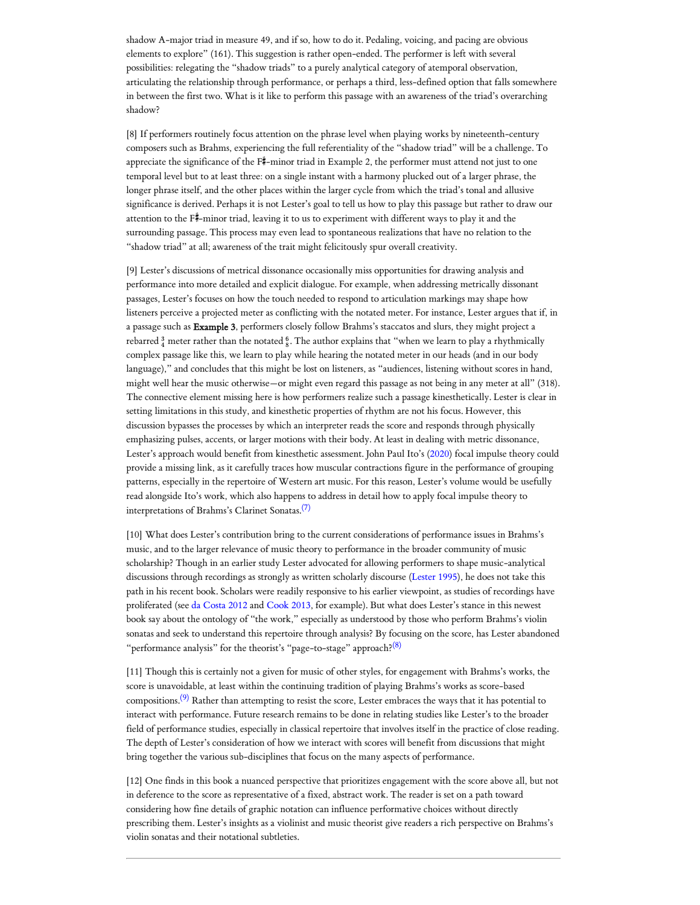shadow A-major triad in measure 49, and if so, how to do it. Pedaling, voicing, and pacing are obvious elements to explore" (161). This suggestion is rather open-ended. The performer is left with several possibilities: relegating the "shadow triads" to a purely analytical category of atemporal observation, articulating the relationship through performance, or perhaps a third, less-defined option that falls somewhere in between the first two. What is it like to perform this passage with an awareness of the triad's overarching shadow?

[8] If performers routinely focus attention on the phrase level when playing works by nineteenth-century composers such as Brahms, experiencing the full referentiality of the "shadow triad" will be a challenge. To appreciate the significance of the  $\overline{F}^*$ -minor triad in Example 2, the performer must attend not just to one temporal level but to at least three: on a single instant with a harmony plucked out of a larger phrase, the longer phrase itself, and the other places within the larger cycle from which the triad's tonal and allusive significance is derived. Perhaps it is not Lester's goal to tell us how to play this passage but rather to draw our attention to the  $F^{\sharp}$ -minor triad, leaving it to us to experiment with different ways to play it and the surrounding passage. This process may even lead to spontaneous realizations that have no relation to the "shadow triad" at all; awareness of the trait might felicitously spur overall creativity.

[9] Lester's discussions of metrical dissonance occasionally miss opportunities for drawing analysis and performance into more detailed and explicit dialogue. For example, when addressing metrically dissonant passages, Lester's focuses on how the touch needed to respond to articulation markings may shape how listeners perceive a projected meter as conflicting with the notated meter. For instance, Lester argues that if, in a passage such as Example 3, performers closely follow Brahms's staccatos and slurs, they might project a rebarred  $\frac{3}{4}$  meter rather than the notated  $\frac{6}{8}$ . The author explains that "when we learn to play a rhythmically complex passage like this, we learn to play while hearing the notated meter in our heads (and in our body language)," and concludes that this might be lost on listeners, as "audiences, listening without scores in hand, might well hear the music otherwise—or might even regard this passage as not being in any meter at all" (318). The connective element missing here is how performers realize such a passage kinesthetically. Lester is clear in setting limitations in this study, and kinesthetic properties of rhythm are not his focus. However, this discussion bypasses the processes by which an interpreter reads the score and responds through physically emphasizing pulses, accents, or larger motions with their body. At least in dealing with metric dissonance, Lester's approach would benefit from kinesthetic assessment. John Paul Ito's [\(2020\)](#page-3-1) focal impulse theory could provide a missing link, as it carefully traces how muscular contractions figure in the performance of grouping patterns, especially in the repertoire of Western art music. For this reason, Lester's volume would be usefully read alongside Ito's work, which also happens to address in detail how to apply focal impulse theory to interpretations of Brahms's Clarinet Sonatas. [\(7\)](#page-4-6)

<span id="page-2-1"></span>[10] What does Lester's contribution bring to the current considerations of performance issues in Brahms's music, and to the larger relevance of music theory to performance in the broader community of music scholarship? Though in an earlier study Lester advocated for allowing performers to shape music-analytical discussions through recordings as strongly as written scholarly discourse ([Lester](#page-3-2) 1995), he does not take this path in his recent book. Scholars were readily responsive to his earlier viewpoint, as studies of recordings have proliferated (see da [Costa](#page-3-3) 2012 and [Cook 2013](#page-3-4), for example). But what does Lester's stance in this newest book say about the ontology of "the work," especially as understood by those who perform Brahms's violin sonatas and seek to understand this repertoire through analysis? By focusing on the score, has Lester abandoned "performance analysis" for the theorist's "page-to-stage" approach?<sup>[\(8\)](#page-4-7)</sup>

<span id="page-2-3"></span><span id="page-2-2"></span>[11] Though this is certainly not a given for music of other styles, for engagement with Brahms's works, the score is unavoidable, at least within the continuing tradition of playing Brahms's works as score-based compositions.<sup>[\(9\)](#page-4-8)</sup> Rather than attempting to resist the score, Lester embraces the ways that it has potential to interact with performance. Future research remains to be done in relating studies like Lester's to the broader field of performance studies, especially in classical repertoire that involves itself in the practice of close reading. The depth of Lester's consideration of how we interact with scores will benefit from discussions that might bring together the various sub-disciplines that focus on the many aspects of performance.

<span id="page-2-0"></span>[12] One finds in this book a nuanced perspective that prioritizes engagement with the score above all, but not in deference to the score as representative of a fixed, abstract work. The reader is set on a path toward considering how fine details of graphic notation can influence performative choices without directly prescribing them. Lester's insights as a violinist and music theorist give readers a rich perspective on Brahms's violin sonatas and their notational subtleties.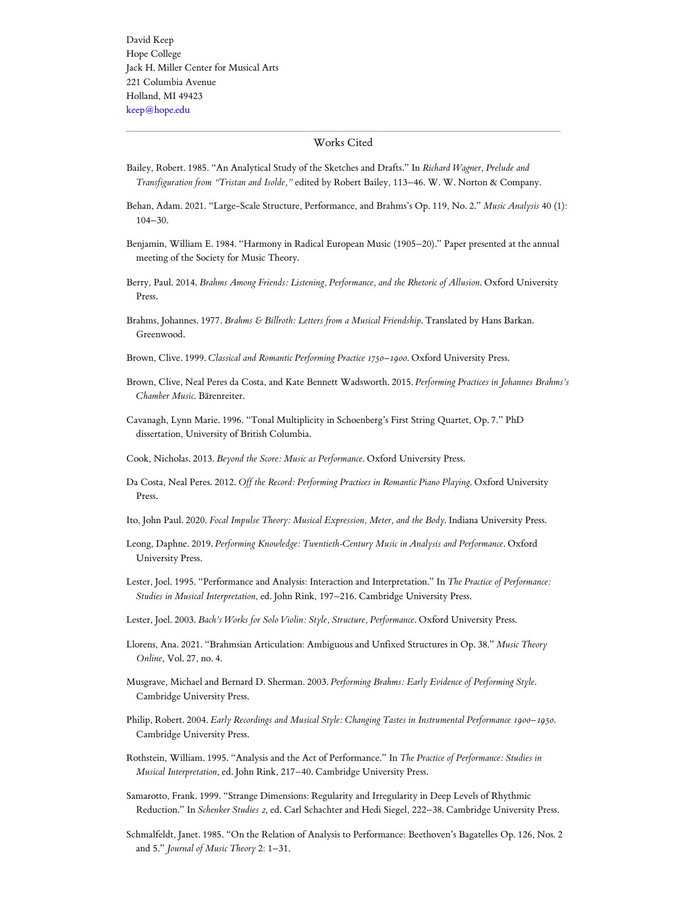## Works Cited

- <span id="page-3-12"></span>Bailey, Robert. 1985. "An Analytical Study of the Sketches and Drafts." In *Richard Wagner, Prelude and Transfiguration from "Tristan and Isolde,"* edited by Robert Bailey, 113–46. W. W. Norton & Company.
- <span id="page-3-7"></span>Behan, Adam. 2021. "Large-Scale Structure, Performance, and Brahms's Op. 119, No. 2." *Music Analysis* 40 (1): 104–30.
- <span id="page-3-11"></span>Benjamin, William E. 1984. "Harmony in Radical European Music (1905–20)." Paper presented at the annual meeting of the Society for Music Theory.
- <span id="page-3-10"></span>Berry, Paul. 2014. *Brahms Among Friends: Listening, Performance, and the Rhetoric of Allusion*. Oxford University Press.
- <span id="page-3-15"></span>Brahms, Johannes. 1977. *Brahms & Billroth: Letters from a Musical Friendship*. Translated by Hans Barkan. Greenwood.
- <span id="page-3-5"></span>Brown, Clive. 1999. *Classical and Romantic Performing Practice 1750–1900*. Oxford University Press.
- Brown, Clive, Neal Peres da Costa, and Kate Bennett Wadsworth. 2015. *Performing Practices in Johannes Brahms's Chamber Music*. Bärenreiter.
- <span id="page-3-13"></span>Cavanagh, Lynn Marie. 1996. "Tonal Multiplicity in Schoenberg's First String Quartet, Op. 7." PhD dissertation, University of British Columbia.
- <span id="page-3-4"></span>Cook, Nicholas. 2013. *Beyond the Score: Music as Performance*. Oxford University Press.
- <span id="page-3-3"></span>Da Costa, Neal Peres. 2012. Off the Record: Performing Practices in Romantic Piano Playing. Oxford University Press.
- <span id="page-3-1"></span>Ito, John Paul. 2020. *Focal Impulse Theory: Musical Expression, Meter, and the Body*. Indiana University Press.
- <span id="page-3-18"></span>Leong, Daphne. 2019. *Performing Knowledge: Twentieth-Century Music in Analysis and Performance*. Oxford University Press.
- <span id="page-3-2"></span>Lester, Joel. 1995. "Performance and Analysis: Interaction and Interpretation." In *The Practice of Performance: Studies in Musical Interpretation*, ed. John Rink, 197–216. Cambridge University Press.
- <span id="page-3-0"></span>Lester, Joel. 2003. *Bach's Works for Solo Violin: Style, Structure, Performance*. Oxford University Press.
- <span id="page-3-8"></span>Llorens, Ana. 2021. "Brahmsian Articulation: Ambiguous and Unfixed Structures in Op. 38." *Music Theory Online*, Vol. 27, no. 4.
- <span id="page-3-6"></span>Musgrave, Michael and Bernard D. Sherman. 2003. *Performing Brahms: Early Evidence of Performing Style*. Cambridge University Press.
- <span id="page-3-9"></span>Philip, Robert. 2004. *Early Recordings and Musical Style: Changing Tastes in Instrumental Performance 1900–1950*. Cambridge University Press.
- <span id="page-3-17"></span>Rothstein, William. 1995. "Analysis and the Act of Performance." In *The Practice of Performance: Studies in Musical Interpretation*, ed. John Rink, 217–40. Cambridge University Press.
- <span id="page-3-14"></span>Samarotto, Frank. 1999. "Strange Dimensions: Regularity and Irregularity in Deep Levels of Rhythmic Reduction." In *Schenker Studies 2*, ed. Carl Schachter and Hedi Siegel, 222–38. Cambridge University Press.
- <span id="page-3-16"></span>Schmalfeldt, Janet. 1985. "On the Relation of Analysis to Performance: Beethoven's Bagatelles Op. 126, Nos. 2 and 5." *Journal of Music Theory* 2: 1–31.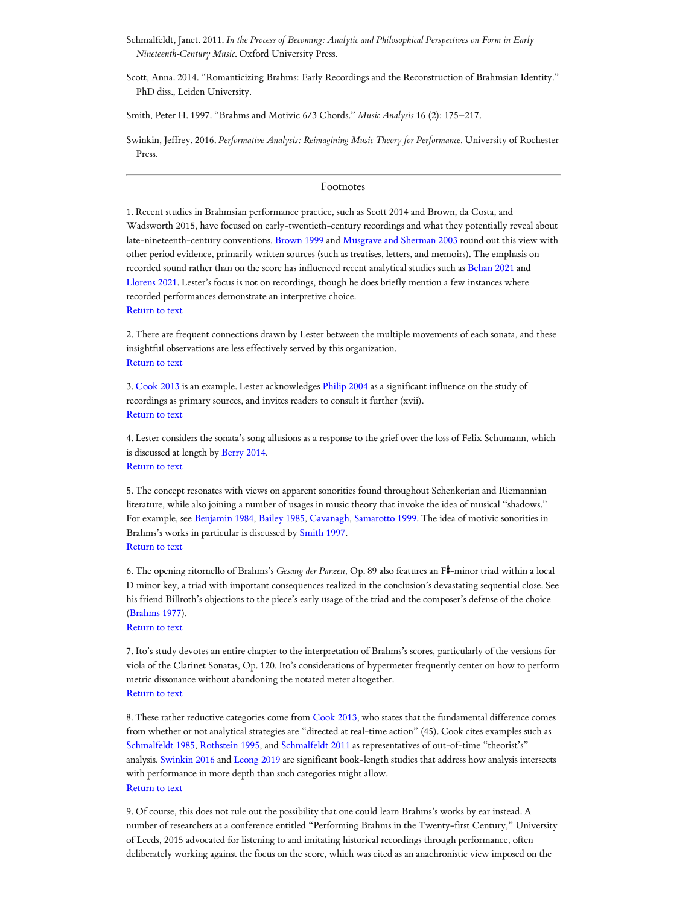<span id="page-4-10"></span>Schmalfeldt, Janet. 2011. *In the Process of Becoming: Analytic and Philosophical Perspectives on Form in Early Nineteenth-Century Music*. Oxford University Press.

Scott, Anna. 2014. "Romanticizing Brahms: Early Recordings and the Reconstruction of Brahmsian Identity." PhD diss., Leiden University.

<span id="page-4-9"></span>Smith, Peter H. 1997. "Brahms and Motivic 6/3 Chords." *Music Analysis* 16 (2): 175–217.

<span id="page-4-11"></span>Swinkin, Jeffrey. 2016. *Performative Analysis: Reimagining Music Theory for Performance*. University of Rochester Press.

## Footnotes

<span id="page-4-0"></span>1. Recent studies in Brahmsian performance practice, such as Scott 2014 and Brown, da Costa, and Wadsworth 2015, have focused on early-twentieth-century recordings and what they potentially reveal about late-nineteenth-century conventions. [Brown](#page-3-5) 1999 and Musgrave [and Sherman](#page-3-6) 2003 round out this view with other period evidence, primarily written sources (such as treatises, letters, and memoirs). The emphasis on recorded sound rather than on the score has influenced recent analytical studies such as [Behan](#page-3-7) 2021 and [Llorens](#page-3-8) 2021. Lester's focus is not on recordings, though he does briefly mention a few instances where recorded performances demonstrate an interpretive choice. [Return](#page-0-0) to text

<span id="page-4-1"></span>2. There are frequent connections drawn by Lester between the multiple movements of each sonata, and these insightful observations are less effectively served by this organization. [Return](#page-0-1) to text

<span id="page-4-2"></span>3. [Cook 2013](#page-3-4) is an example. Lester acknowledges [Philip 2004](#page-3-9) as a significant influence on the study of recordings as primary sources, and invites readers to consult it further (xvii). [Return](#page-1-0) to text

<span id="page-4-3"></span>4. Lester considers the sonata's song allusions as a response to the grief over the loss of Felix Schumann, which is discussed at length by [Berry](#page-3-10) 2014. [Return](#page-1-1) to text

<span id="page-4-4"></span>5. The concept resonates with views on apparent sonorities found throughout Schenkerian and Riemannian literature, while also joining a number of usages in music theory that invoke the idea of musical "shadows." For example, see [Benjamin](#page-3-11) 1984, [Bailey](#page-3-12) 1985, [Cavanagh](#page-3-13), [Samarotto](#page-3-14) 1999. The idea of motivic sonorities in Brahms's works in particular is discussed by [Smith](#page-4-9) 1997. [Return](#page-1-2) to text

<span id="page-4-5"></span>6. The opening ritornello of Brahms's *Gesang der Parzen*, Op. 89 also features an F#-minor triad within a local D minor key, a triad with important consequences realized in the conclusion's devastating sequential close. See his friend Billroth's objections to the piece's early usage of the triad and the composer's defense of the choice [\(Brahms](#page-3-15) 1977).

[Return](#page-1-3) to text

<span id="page-4-6"></span>7. Ito's study devotes an entire chapter to the interpretation of Brahms's scores, particularly of the versions for viola of the Clarinet Sonatas, Op. 120. Ito's considerations of hypermeter frequently center on how to perform metric dissonance without abandoning the notated meter altogether. [Return](#page-2-1) to text

<span id="page-4-7"></span>8. These rather reductive categories come from [Cook 2013,](#page-3-4) who states that the fundamental difference comes from whether or not analytical strategies are "directed at real-time action" (45). Cook cites examples such as [Schmalfeldt](#page-3-16) 1985, [Rothstein](#page-3-17) 1995, and [Schmalfeldt](#page-4-10) 2011 as representatives of out-of-time "theorist's" analysis. [Swinkin](#page-4-11) 2016 and [Leong](#page-3-18) 2019 are significant book-length studies that address how analysis intersects with performance in more depth than such categories might allow. [Return](#page-2-2) to text

<span id="page-4-8"></span>9. Of course, this does not rule out the possibility that one could learn Brahms's works by ear instead. A number of researchers at a conference entitled "Performing Brahms in the Twenty-first Century," University of Leeds, 2015 advocated for listening to and imitating historical recordings through performance, often deliberately working against the focus on the score, which was cited as an anachronistic view imposed on the